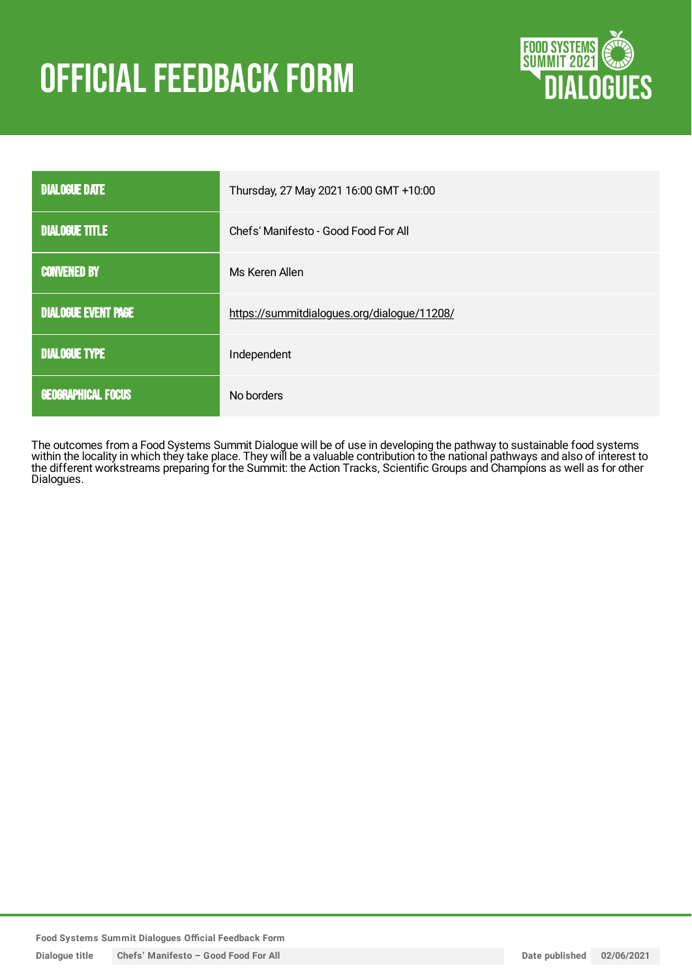# **OFFICIAL FEEDBACK FORM**



| <b>DIALOGUE DATE</b>       | Thursday, 27 May 2021 16:00 GMT +10:00      |
|----------------------------|---------------------------------------------|
| <b>DIALOGUE TITLE</b>      | Chefs' Manifesto - Good Food For All        |
| <b>CONVENED BY</b>         | Ms Keren Allen                              |
| <b>DIALOGUE EVENT PAGE</b> | https://summitdialogues.org/dialogue/11208/ |
| <b>DIALOGUE TYPE</b>       | Independent                                 |
| <b>GEOGRAPHICAL FOCUS</b>  | No borders                                  |

The outcomes from a Food Systems Summit Dialogue will be of use in developing the pathway to sustainable food systems within the locality in which they take place. They will be a valuable contribution to the national pathways and also of interest to the different workstreams preparing for the Summit: the Action Tracks, Scientific Groups and Champions as well as for other Dialogues.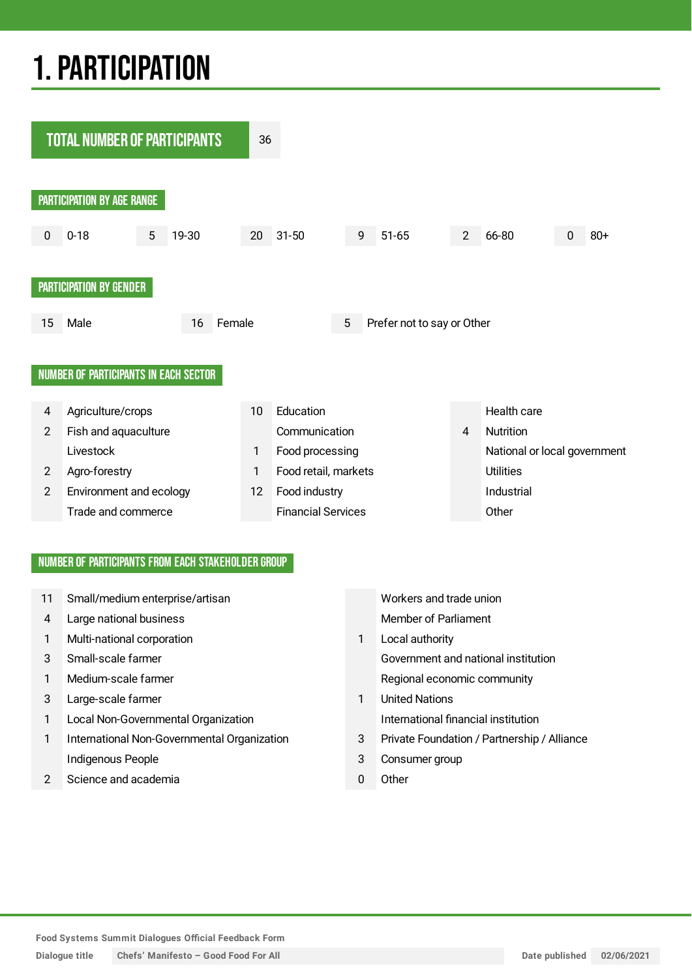## 1.PARTICIPATION



#### NUMBER OF PARTICIPANTS FROM EACH STAKEHOLDER GROUP

| 11 | Small/medium enterprise/artisan             |   | Workers and trade union                     |  |  |
|----|---------------------------------------------|---|---------------------------------------------|--|--|
| 4  | Large national business                     |   | <b>Member of Parliament</b>                 |  |  |
| 1  | Multi-national corporation                  | 1 | Local authority                             |  |  |
| 3  | Small-scale farmer                          |   | Government and national institution         |  |  |
|    | Medium-scale farmer                         |   | Regional economic community                 |  |  |
| 3  | Large-scale farmer                          | 1 | <b>United Nations</b>                       |  |  |
|    | Local Non-Governmental Organization         |   | International financial institution         |  |  |
|    | International Non-Governmental Organization | 3 | Private Foundation / Partnership / Alliance |  |  |
|    | Indigenous People                           | 3 | Consumer group                              |  |  |
|    | Science and academia                        | 0 | Other                                       |  |  |
|    |                                             |   |                                             |  |  |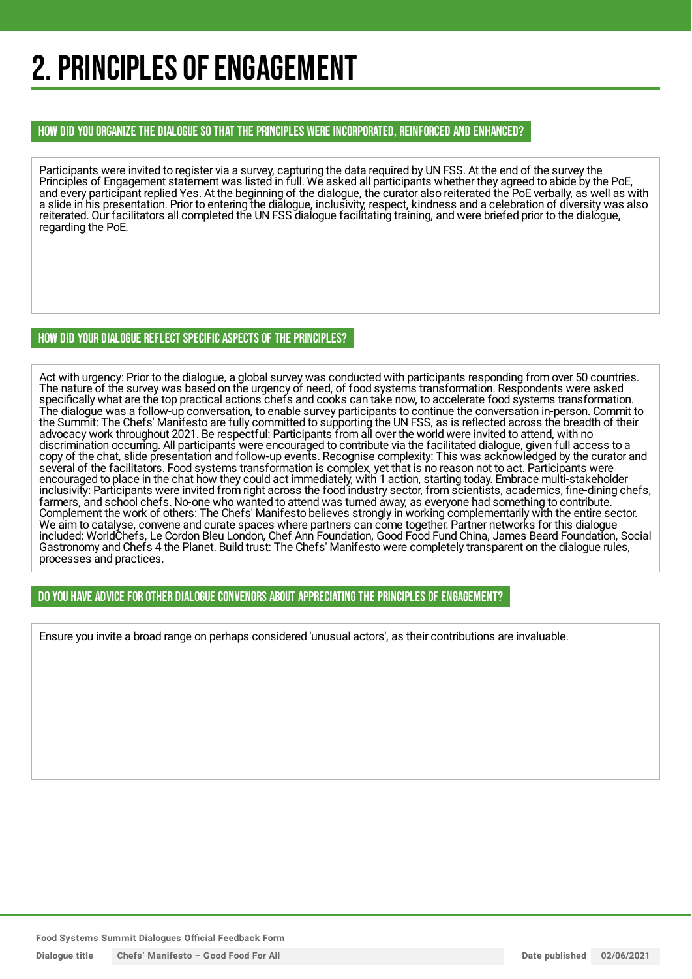## 2. PRINCIPLES OF ENGAGEMENT

#### HOW DID YOU ORGANIZE THE DIALOGUE SO THAT THE PRINCIPLES WERE INCORPORATED, REINFORCED AND ENHANCED?

Participants were invited to register via a survey, capturing the data required by UN FSS. At the end of the survey the Principles of Engagement statement was listed in full. We asked all participants whether they agreed to abide by the PoE, and every participant replied Yes. At the beginning of the dialogue, the curator also reiterated the PoE verbally, as well as with a slide in his presentation. Prior to entering the dialogue, inclusivity, respect, kindness and a celebration of diversity was also reiterated. Our facilitators all completed the UN FSS dialogue facilitating training, and were briefed prior to the dialogue, regarding the PoE.

#### HOW DID YOUR DIALOGUE REFLECT SPECIFIC ASPECTS OF THE PRINCIPLES?

Act with urgency: Prior to the dialogue, a global survey was conducted with participants responding from over 50 countries. The nature of the survey was based on the urgency of need, of food systems transformation. Respondents were asked specifically what are the top practical actions chefs and cooks can take now, to accelerate food systems transformation. The dialogue was a follow-up conversation, to enable survey participants to continue the conversation in-person. Commit to the Summit: The Chefs' Manifesto are fully committed to supporting the UN FSS, as is reflected across the breadth of their advocacy work throughout 2021. Be respectful: Participants from all over the world were invited to attend, with no discrimination occurring. All participants were encouraged to contribute via the facilitated dialogue, given full access to a copy of the chat, slide presentation and follow-up events. Recognise complexity: This was acknowledged by the curator and several of the facilitators. Food systems transformation is complex, yet that is no reason not to act. Participants were encouraged to place in the chat how they could act immediately, with 1 action, starting today. Embrace multi-stakeholder inclusivity: Participants were invited from right across the food industry sector, from scientists, academics, fine-dining chefs, farmers, and school chefs. No-one who wanted to attend was turned away, as everyone had something to contribute. Complement the work of others: The Chefs' Manifesto believes strongly in working complementarily with the entire sector. We aim to catalyse, convene and curate spaces where partners can come together. Partner networks for this dialogue included: WorldChefs, Le Cordon Bleu London, Chef Ann Foundation, Good Food Fund China, James Beard Foundation, Social Gastronomy and Chefs 4 the Planet. Build trust: The Chefs' Manifesto were completely transparent on the dialogue rules, processes and practices.

#### DO YOU HAVE ADVICE FOR OTHER DIALOGUE CONVENORS ABOUT APPRECIATINGTHE PRINCIPLES OF ENGAGEMENT?

Ensure you invite a broad range on perhaps considered 'unusual actors', as their contributions are invaluable.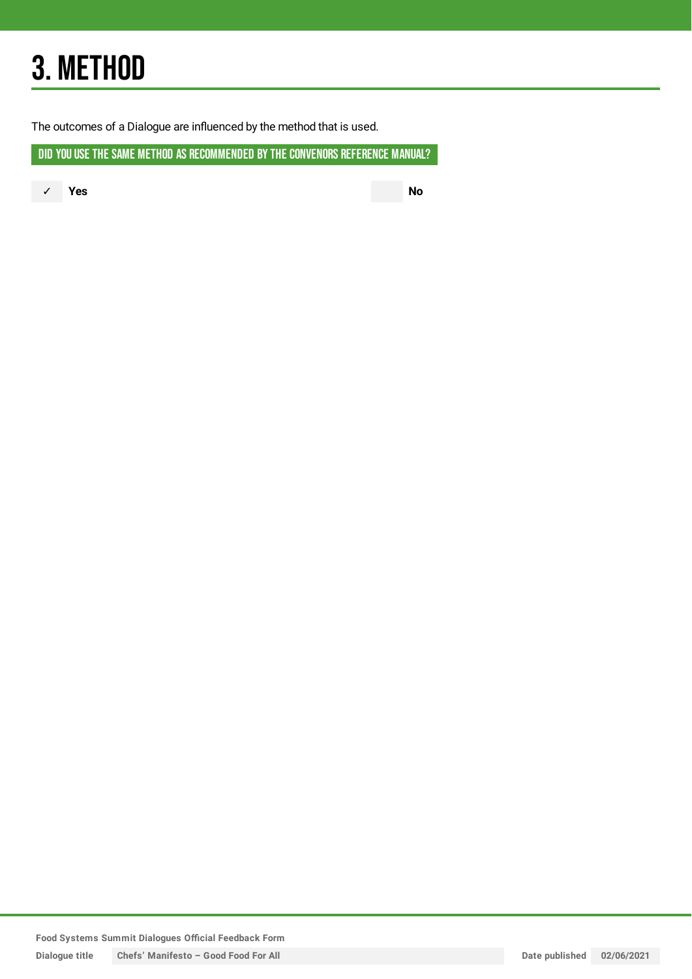## 3. METHOD

The outcomes of a Dialogue are influenced by the method that is used.

DID YOU USE THE SAME METHOD AS RECOMMENDED BY THE CONVENORS REFERENCE MANUAL?

✓ **Yes No**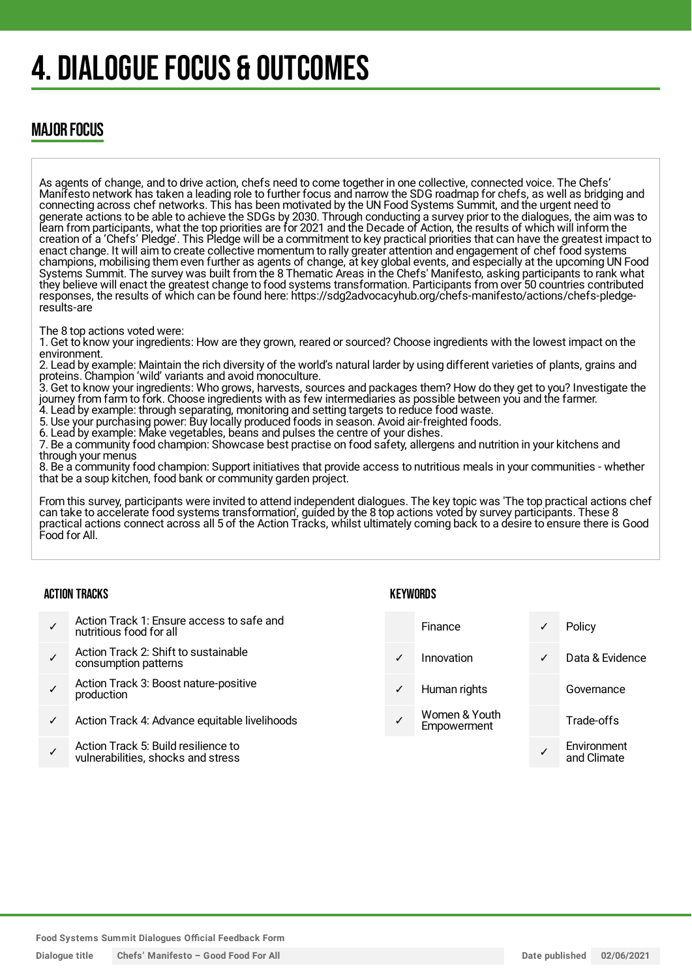## 4. DIALOGUE FOCUS & OUTCOMES

### MAJOR FOCUS

As agents of change, and to drive action, chefs need to come together in one collective, connected voice. The Chefs' Manifesto network has taken a leading role to further focus and narrow the SDG roadmap for chefs, as well as bridging and connecting across chef networks. This has been motivated by the UN Food Systems Summit, and the urgent need to generate actions to be able to achieve the SDGs by 2030. Through conducting a survey prior to the dialogues, the aim was to learn from participants, what the top priorities are for 2021 and the Decade of Action, the results of which will inform the creation of a 'Chefs' Pledge'. This Pledge will be a commitment to key practical priorities that can have the greatest impact to enact change. It will aim to create collective momentum to rally greater attention and engagement of chef food systems champions, mobilising them even further as agents of change, at key global events, and especially at the upcoming UN Food Systems Summit. The survey was built from the 8 Thematic Areas in the Chefs' Manifesto, asking participants to rank what they believe will enact the greatest change to food systems transformation. Participants from over 50 countries contributed responses, the results of which can be found here: https://sdg2advocacyhub.org/chefs-manifesto/actions/chefs-pledgeresults-are

The 8 top actions voted were:

1. Get to know your ingredients: How are they grown, reared or sourced? Choose ingredients with the lowest impact on the environment.

2. Lead by example: Maintain the rich diversity of the world's natural larder by using different varieties of plants, grains and proteins. Champion 'wild' variants and avoid monoculture.

3. Get to know your ingredients: Who grows, harvests, sources and packages them? How do they get to you? Investigate the journey from farm to fork. Choose ingredients with as few intermediaries as possible between you and the farmer.

4. Lead by example: through separating, monitoring and setting targets to reduce food waste.

5. Use your purchasing power: Buy locally produced foods in season. Avoid air-freighted foods.

6. Lead by example: Make vegetables, beans and pulses the centre of your dishes. 7. Be a community food champion: Showcase best practise on food safety, allergens and nutrition in your kitchens and

through your menus

8. Be a community food champion: Support initiatives that provide access to nutritious meals in your communities - whether that be a soup kitchen, food bank or community garden project.

From this survey, participants were invited to attend independent dialogues. The key topic was 'The top practical actions chef can take to accelerate food systems transformation', guided by the 8 top actions voted by survey participants. These 8 practical actions connect across all 5 of the Action Tracks, whilst ultimately coming back to a desire to ensure there is Good Food for All.

#### ACTION TRACKS

- ✓ Action Track 1: Ensure access to safe and nutritious food for all
- ✓ Action Track 2: Shift to sustainable consumption patterns
- ✓ Action Track 3: Boost nature-positive production
- Action Track 4: Advance equitable livelihoods
- ✓ Action Track 5: Build resilience to vulnerabilities, shocks and stress

KEYWORDS

- Finance ✓ Policy
	-
- 
- Women & Youth **Empowerment**
- ✓ Innovation ✓ Data & Evidence Human rights Governance Trade-offs ✓ **Environment** and Climate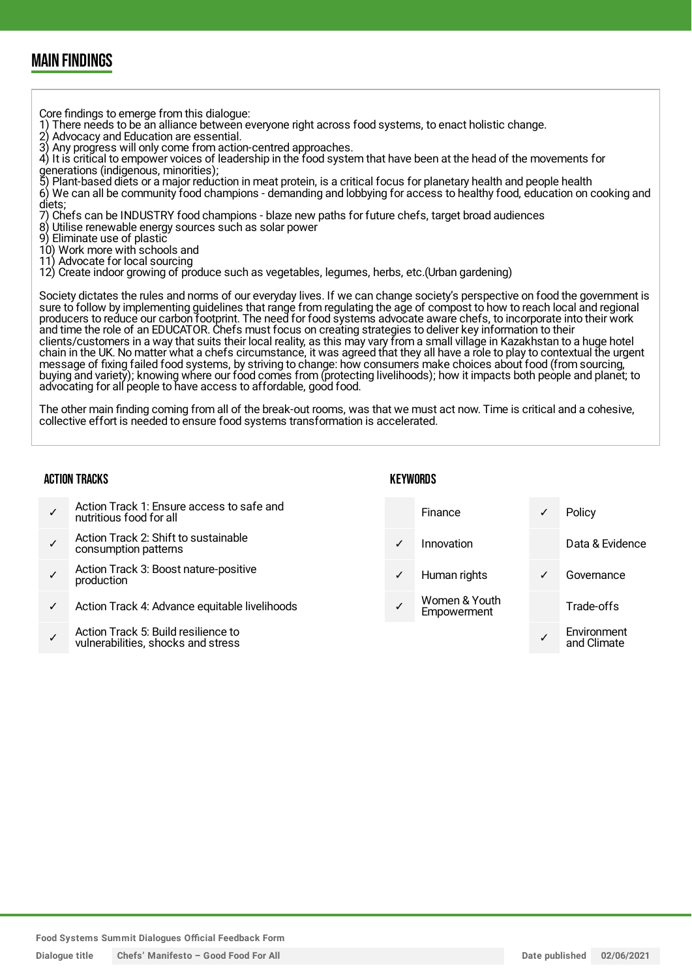### MAIN FINDINGS

Core findings to emerge from this dialogue:

- 1) There needs to be an alliance between everyone right across food systems, to enact holistic change.
- 2) Advocacy and Education are essential.

3) Any progress will only come from action-centred approaches.

4) It is critical to empower voices of leadership in the food system that have been at the head of the movements for generations (indigenous, minorities);

- 5) Plant-based diets or a major reduction in meat protein, is a critical focus for planetary health and people health
- 6) We can all be community food champions demanding and lobbying for access to healthy food, education on cooking and diets;

7) Chefs can be INDUSTRY food champions - blaze new paths for future chefs, target broad audiences

Utilise renewable energy sources such as solar power

9) Eliminate use of plastic

10) Work more with schools and

11) Advocate for local sourcing

12) Create indoor growing of produce such as vegetables, legumes, herbs, etc.(Urban gardening)

Society dictates the rules and norms of our everyday lives. If we can change society's perspective on food the government is sure to follow by implementing guidelines that range from regulating the age of compost to how to reach local and regional producers to reduce our carbon footprint. The need for food systems advocate aware chefs, to incorporate into their work and time the role of an EDUCATOR. Chefs must focus on creating strategies to deliver key information to their clients/customers in a way that suits their local reality, as this may vary from a small village in Kazakhstan to a huge hotel chain in the UK. No matter what a chefs circumstance, it was agreed that they all have a role to play to contextual the urgent message of fixing failed food systems, by striving to change: how consumers make choices about food (from sourcing, buying and variety); knowing where our food comes from (protecting livelihoods); how it impacts both people and planet; to advocating for all people to have access to affordable, good food.

The other main finding coming from all of the break-out rooms, was that we must act now. Time is critical and a cohesive, collective effort is needed to ensure food systems transformation is accelerated.

#### ACTION TRACKS

#### **KFYWORDS**

| Action Track 1: Ensure access to safe and<br>nutritious food for all      |              | Finance                      |   | Policy                     |
|---------------------------------------------------------------------------|--------------|------------------------------|---|----------------------------|
| Action Track 2: Shift to sustainable<br>consumption patterns              | $\checkmark$ | Innovation                   |   | Data & Evidence            |
| Action Track 3: Boost nature-positive<br>production                       | $\checkmark$ | Human rights                 | ✓ | Governance                 |
| Action Track 4: Advance equitable livelihoods                             |              | Women & Youth<br>Empowerment |   | Trade-offs                 |
| Action Track 5: Build resilience to<br>vulnerabilities, shocks and stress |              |                              |   | Environment<br>and Climate |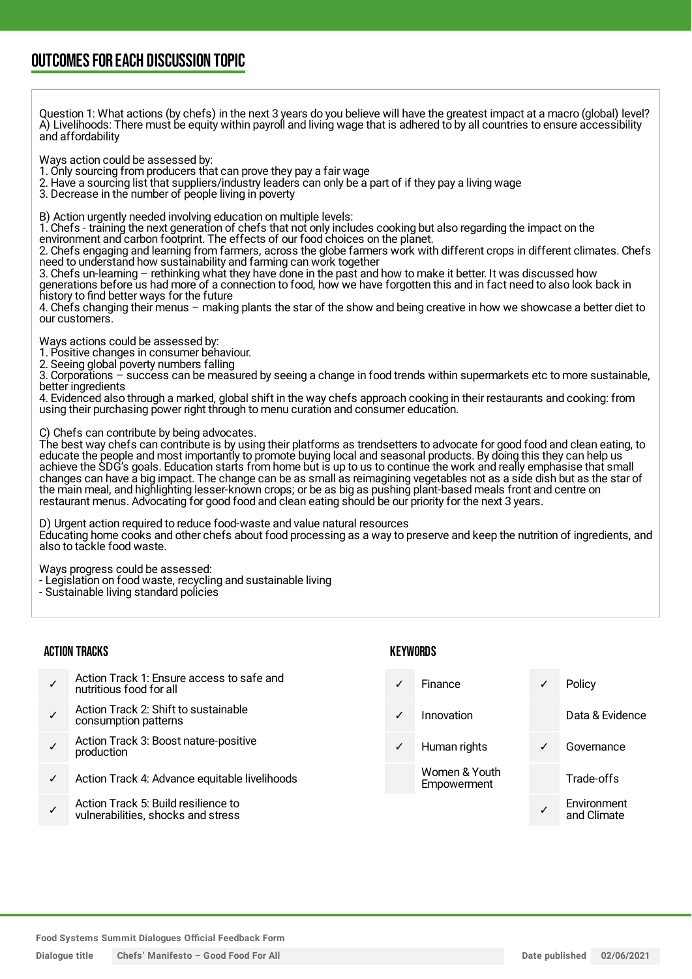### OUTCOMESFOR EACH DISCUSSION TOPIC

Question 1: What actions (by chefs) in the next 3 years do you believe will have the greatest impact at a macro (global) level? A) Livelihoods: There must be equity within payroll and living wage that is adhered to by all countries to ensure accessibility and affordability

Ways action could be assessed by:

1. Only sourcing from producers that can prove they pay a fair wage

- 2. Have a sourcing list that suppliers/industry leaders can only be a part of if they pay a living wage
- 3. Decrease in the number of people living in poverty

B) Action urgently needed involving education on multiple levels:

1. Chefs - training the next generation of chefs that not only includes cooking but also regarding the impact on the

environment and carbon footprint. The effects of our food choices on the planet.

2. Chefs engaging and learning from farmers, across the globe farmers work with different crops in different climates. Chefs need to understand how sustainability and farming can work together

3. Chefs un-learning – rethinking what they have done in the past and how to make it better. It was discussed how generations before us had more of a connection to food, how we have forgotten this and in fact need to also look back in history to find better ways for the future

4. Chefs changing their menus – making plants the star of the show and being creative in how we showcase a better diet to our customers.

Ways actions could be assessed by:

1. Positive changes in consumer behaviour.

2. Seeing global poverty numbers falling

3. Corporations – success can be measured by seeing a change in food trends within supermarkets etc to more sustainable, better ingredients

4. Evidenced also through a marked, global shift in the way chefs approach cooking in their restaurants and cooking: from using their purchasing power right through to menu curation and consumer education.

C) Chefs can contribute by being advocates.

The best way chefs can contribute is by using their platforms as trendsetters to advocate for good food and clean eating, to educate the people and most importantly to promote buying local and seasonal products. By doing this they can help us achieve the SDG's goals. Education starts from home but is up to us to continue the work and really emphasise that small changes can have a big impact. The change can be as small as reimagining vegetables not as a side dish but as the star of the main meal, and highlighting lesser-known crops; or be as big as pushing plant-based meals front and centre on restaurant menus. Advocating for good food and clean eating should be our priority for the next 3 years.

D) Urgent action required to reduce food-waste and value natural resources

Educating home cooks and other chefs about food processing as a way to preserve and keep the nutrition of ingredients, and also to tackle food waste.

Ways progress could be assessed:

- Legislation on food waste, recycling and sustainable living
- Sustainable living standard policies

#### ACTION TRACKS

- ✓ Action Track 1: Ensure access to safe and nutritious food for all
- ✓ Action Track 2: Shift to sustainable consumption patterns
- ✓ Action Track 3: Boost nature-positive production
- Action Track 4: Advance equitable livelihoods
- ✓ Action Track 5: Build resilience to vulnerabilities, shocks and stress

#### **KEYWORDS**